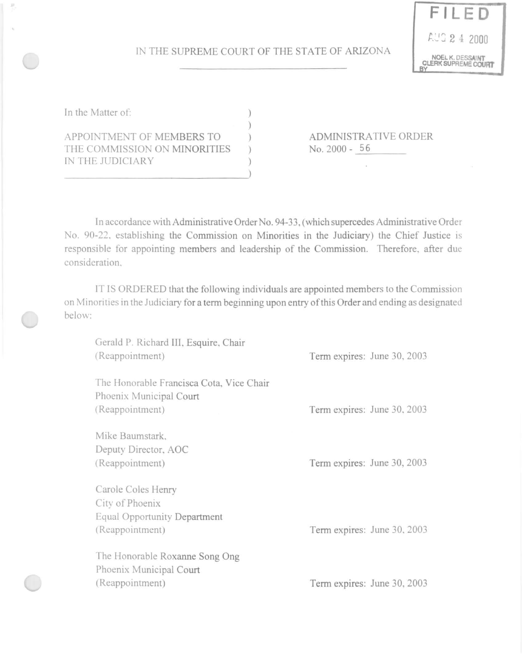## IN THE SUPREME COURT OF THE STATE OF ARIZONA



| In the Matter of:                                                             |  |
|-------------------------------------------------------------------------------|--|
| APPOINTMENT OF MEMBERS TO<br>THE COMMISSION ON MINORITIES<br>IN THE JUDICIARY |  |
|                                                                               |  |

ADMlNISTRA TIVE ORDER No. 2000 - 56

In accordance with Administrative Order No. 94-33, (which supercedes Administrative Order No. 90-22. establishing the Commission on Minorities in the Judiciary) the Chief Justice is responsible for appointing members and leadership of the Commission. Therefore, after due consideration.

IT IS ORDERED that the following individuals are appointed members to the Commission on Minorities in the Judiciary for a term beginning upon entry of this Order and ending as designated below:

| Gerald P. Richard III, Esquire, Chair<br>(Reappointment)                                 | Term expires: June 30, 2003 |
|------------------------------------------------------------------------------------------|-----------------------------|
| The Honorable Francisca Cota, Vice Chair<br>Phoenix Municipal Court<br>(Reappointment)   | Term expires: June 30, 2003 |
| Mike Baumstark,<br>Deputy Director, AOC<br>(Reappointment)                               | Term expires: June 30, 2003 |
| Carole Coles Henry<br>City of Phoenix<br>Equal Opportunity Department<br>(Reappointment) | Term expires: June 30, 2003 |
| The Honorable Roxanne Song Ong<br>Phoenix Municipal Court<br>(Reappointment)             | Term expires: June 30, 2003 |